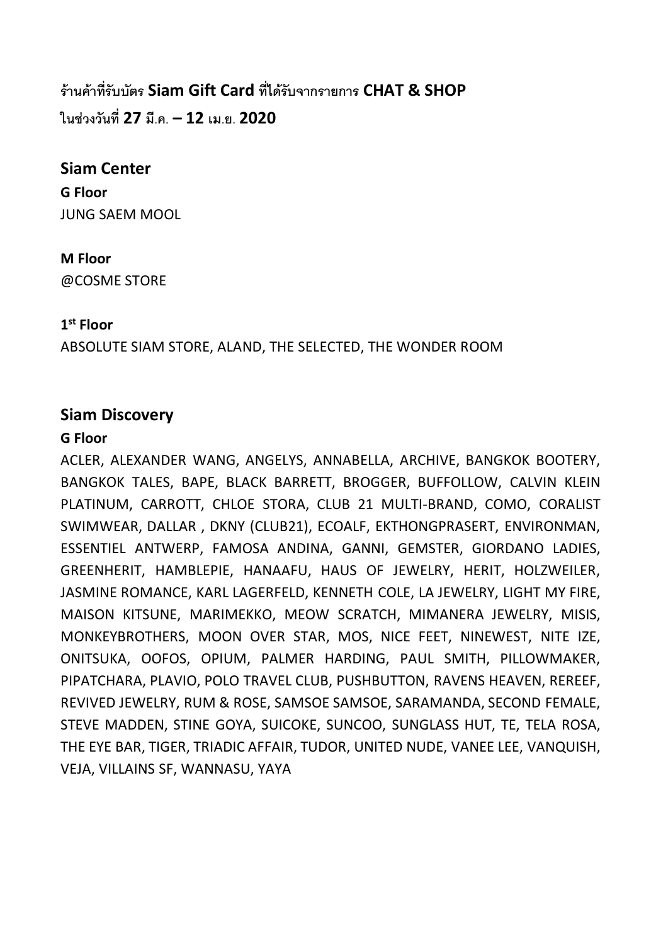**ร้านค้าที่ รับบัตร Siam Gift Card ที่ ได้รับจากรายการ CHAT & SHOP ในช่วงวันที่ 27 มี.ค. – 12 เม.ย. 2020**

# **Siam Center**

**G Floor** JUNG SAEM MOOL

### **M Floor** @COSME STORE

## **1st Floor**

ABSOLUTE SIAM STORE, ALAND, THE SELECTED, THE WONDER ROOM

# **Siam Discovery**

### **G Floor**

ACLER, ALEXANDER WANG, ANGELYS, ANNABELLA, ARCHIVE, BANGKOK BOOTERY, BANGKOK TALES, BAPE, BLACK BARRETT, BROGGER, BUFFOLLOW, CALVIN KLEIN PLATINUM, CARROTT, CHLOE STORA, CLUB 21 MULTI-BRAND, COMO, CORALIST SWIMWEAR, DALLAR , DKNY (CLUB21), ECOALF, EKTHONGPRASERT, ENVIRONMAN, ESSENTIEL ANTWERP, FAMOSA ANDINA, GANNI, GEMSTER, GIORDANO LADIES, GREENHERIT, HAMBLEPIE, HANAAFU, HAUS OF JEWELRY, HERIT, HOLZWEILER, JASMINE ROMANCE, KARL LAGERFELD, KENNETH COLE, LA JEWELRY, LIGHT MY FIRE, MAISON KITSUNE, MARIMEKKO, MEOW SCRATCH, MIMANERA JEWELRY, MISIS, MONKEYBROTHERS, MOON OVER STAR, MOS, NICE FEET, NINEWEST, NITE IZE, ONITSUKA, OOFOS, OPIUM, PALMER HARDING, PAUL SMITH, PILLOWMAKER, PIPATCHARA, PLAVIO, POLO TRAVEL CLUB, PUSHBUTTON, RAVENS HEAVEN, REREEF, REVIVED JEWELRY, RUM & ROSE, SAMSOE SAMSOE, SARAMANDA, SECOND FEMALE, STEVE MADDEN, STINE GOYA, SUICOKE, SUNCOO, SUNGLASS HUT, TE, TELA ROSA, THE EYE BAR, TIGER, TRIADIC AFFAIR, TUDOR, UNITED NUDE, VANEE LEE, VANQUISH, VEJA, VILLAINS SF, WANNASU, YAYA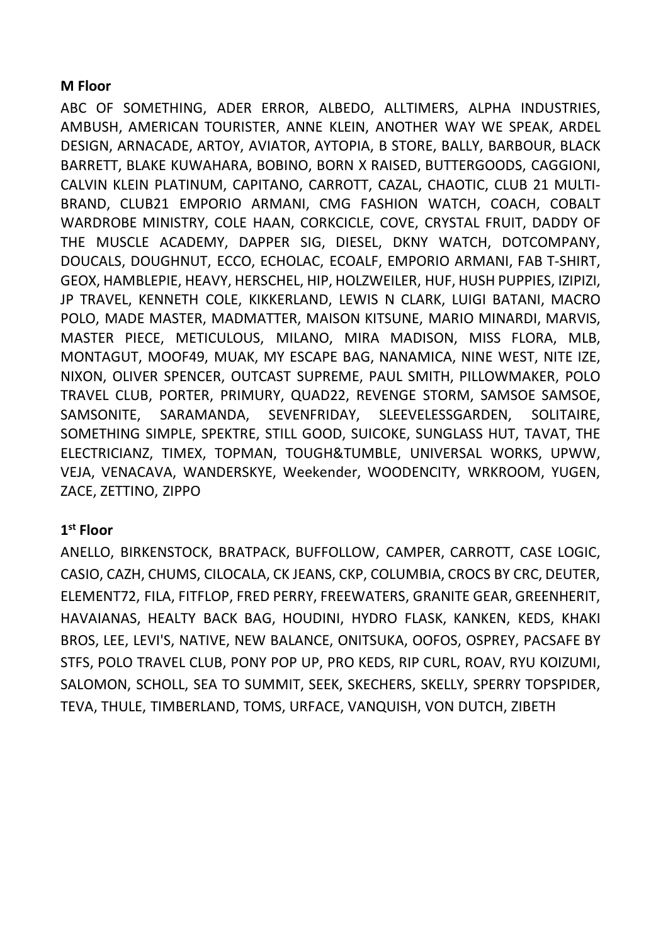### **M Floor**

ABC OF SOMETHING, ADER ERROR, ALBEDO, ALLTIMERS, ALPHA INDUSTRIES, AMBUSH, AMERICAN TOURISTER, ANNE KLEIN, ANOTHER WAY WE SPEAK, ARDEL DESIGN, ARNACADE, ARTOY, AVIATOR, AYTOPIA, B STORE, BALLY, BARBOUR, BLACK BARRETT, BLAKE KUWAHARA, BOBINO, BORN X RAISED, BUTTERGOODS, CAGGIONI, CALVIN KLEIN PLATINUM, CAPITANO, CARROTT, CAZAL, CHAOTIC, CLUB 21 MULTI-BRAND, CLUB21 EMPORIO ARMANI, CMG FASHION WATCH, COACH, COBALT WARDROBE MINISTRY, COLE HAAN, CORKCICLE, COVE, CRYSTAL FRUIT, DADDY OF THE MUSCLE ACADEMY, DAPPER SIG, DIESEL, DKNY WATCH, DOTCOMPANY, DOUCALS, DOUGHNUT, ECCO, ECHOLAC, ECOALF, EMPORIO ARMANI, FAB T-SHIRT, GEOX, HAMBLEPIE, HEAVY, HERSCHEL, HIP, HOLZWEILER, HUF, HUSH PUPPIES, IZIPIZI, JP TRAVEL, KENNETH COLE, KIKKERLAND, LEWIS N CLARK, LUIGI BATANI, MACRO POLO, MADE MASTER, MADMATTER, MAISON KITSUNE, MARIO MINARDI, MARVIS, MASTER PIECE, METICULOUS, MILANO, MIRA MADISON, MISS FLORA, MLB, MONTAGUT, MOOF49, MUAK, MY ESCAPE BAG, NANAMICA, NINE WEST, NITE IZE, NIXON, OLIVER SPENCER, OUTCAST SUPREME, PAUL SMITH, PILLOWMAKER, POLO TRAVEL CLUB, PORTER, PRIMURY, QUAD22, REVENGE STORM, SAMSOE SAMSOE, SAMSONITE, SARAMANDA, SEVENFRIDAY, SLEEVELESSGARDEN, SOLITAIRE, SOMETHING SIMPLE, SPEKTRE, STILL GOOD, SUICOKE, SUNGLASS HUT, TAVAT, THE ELECTRICIANZ, TIMEX, TOPMAN, TOUGH&TUMBLE, UNIVERSAL WORKS, UPWW, VEJA, VENACAVA, WANDERSKYE, Weekender, WOODENCITY, WRKROOM, YUGEN, ZACE, ZETTINO, ZIPPO

## **1st Floor**

ANELLO, BIRKENSTOCK, BRATPACK, BUFFOLLOW, CAMPER, CARROTT, CASE LOGIC, CASIO, CAZH, CHUMS, CILOCALA, CK JEANS, CKP, COLUMBIA, CROCS BY CRC, DEUTER, ELEMENT72, FILA, FITFLOP, FRED PERRY, FREEWATERS, GRANITE GEAR, GREENHERIT, HAVAIANAS, HEALTY BACK BAG, HOUDINI, HYDRO FLASK, KANKEN, KEDS, KHAKI BROS, LEE, LEVI'S, NATIVE, NEW BALANCE, ONITSUKA, OOFOS, OSPREY, PACSAFE BY STFS, POLO TRAVEL CLUB, PONY POP UP, PRO KEDS, RIP CURL, ROAV, RYU KOIZUMI, SALOMON, SCHOLL, SEA TO SUMMIT, SEEK, SKECHERS, SKELLY, SPERRY TOPSPIDER, TEVA, THULE, TIMBERLAND, TOMS, URFACE, VANQUISH, VON DUTCH, ZIBETH